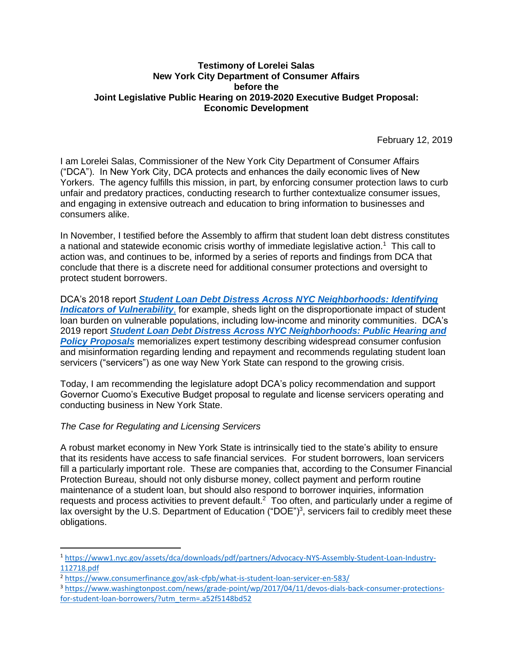## **Testimony of Lorelei Salas New York City Department of Consumer Affairs before the Joint Legislative Public Hearing on 2019-2020 Executive Budget Proposal: Economic Development**

February 12, 2019

I am Lorelei Salas, Commissioner of the New York City Department of Consumer Affairs ("DCA"). In New York City, DCA protects and enhances the daily economic lives of New Yorkers. The agency fulfills this mission, in part, by enforcing consumer protection laws to curb unfair and predatory practices, conducting research to further contextualize consumer issues, and engaging in extensive outreach and education to bring information to businesses and consumers alike.

In November, I testified before the Assembly to affirm that student loan debt distress constitutes a national and statewide economic crisis worthy of immediate legislative action.<sup>1</sup> This call to action was, and continues to be, informed by a series of reports and findings from DCA that conclude that there is a discrete need for additional consumer protections and oversight to protect student borrowers.

DCA's 2018 report *[Student Loan Debt Distress Across NYC Neighborhoods: Identifying](https://www1.nyc.gov/assets/dca/downloads/pdf/partners/Research-StudentLoanDebtDistressAcrossNYCNeighborhoods.pdf)  [Indicators of Vulnerability](https://www1.nyc.gov/assets/dca/downloads/pdf/partners/Research-StudentLoanDebtDistressAcrossNYCNeighborhoods.pdf)*, for example, sheds light on the disproportionate impact of student loan burden on vulnerable populations, including low-income and minority communities. DCA's 2019 report *[Student Loan Debt Distress Across NYC Neighborhoods: Public Hearing and](https://www1.nyc.gov/assets/dca/downloads/pdf/partners/Research-StudentLoanDebtDistressAcrossNYCNeighborhoods-PublicHearingPolicyProposals.pdf)  [Policy Proposals](https://www1.nyc.gov/assets/dca/downloads/pdf/partners/Research-StudentLoanDebtDistressAcrossNYCNeighborhoods-PublicHearingPolicyProposals.pdf)* memorializes expert testimony describing widespread consumer confusion and misinformation regarding lending and repayment and recommends regulating student loan servicers ("servicers") as one way New York State can respond to the growing crisis.

Today, I am recommending the legislature adopt DCA's policy recommendation and support Governor Cuomo's Executive Budget proposal to regulate and license servicers operating and conducting business in New York State.

## *The Case for Regulating and Licensing Servicers*

 $\overline{\phantom{a}}$ 

A robust market economy in New York State is intrinsically tied to the state's ability to ensure that its residents have access to safe financial services. For student borrowers, loan servicers fill a particularly important role. These are companies that, according to the Consumer Financial Protection Bureau, should not only disburse money, collect payment and perform routine maintenance of a student loan, but should also respond to borrower inquiries, information requests and process activities to prevent default.<sup>2</sup> Too often, and particularly under a regime of lax oversight by the U.S. Department of Education ("DOE")<sup>3</sup>, servicers fail to credibly meet these obligations.

<sup>1</sup> [https://www1.nyc.gov/assets/dca/downloads/pdf/partners/Advocacy-NYS-Assembly-Student-Loan-Industry-](https://www1.nyc.gov/assets/dca/downloads/pdf/partners/Advocacy-NYS-Assembly-Student-Loan-Industry-112718.pdf)[112718.pdf](https://www1.nyc.gov/assets/dca/downloads/pdf/partners/Advocacy-NYS-Assembly-Student-Loan-Industry-112718.pdf)

<sup>2</sup> <https://www.consumerfinance.gov/ask-cfpb/what-is-student-loan-servicer-en-583/>

<sup>3</sup> [https://www.washingtonpost.com/news/grade-point/wp/2017/04/11/devos-dials-back-consumer-protections](https://www.washingtonpost.com/news/grade-point/wp/2017/04/11/devos-dials-back-consumer-protections-for-student-loan-borrowers/?utm_term=.a52f5148bd52)[for-student-loan-borrowers/?utm\\_term=.a52f5148bd52](https://www.washingtonpost.com/news/grade-point/wp/2017/04/11/devos-dials-back-consumer-protections-for-student-loan-borrowers/?utm_term=.a52f5148bd52)